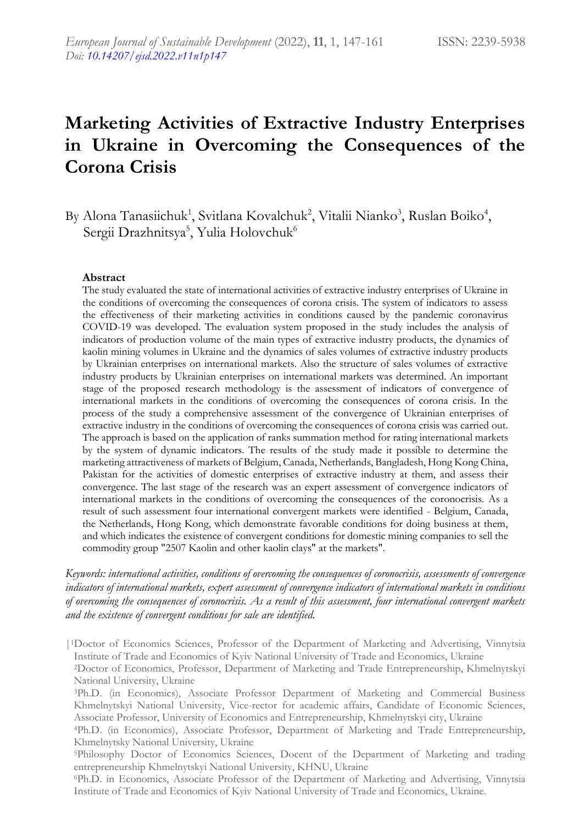# **Marketing Activities of Extractive Industry Enterprises in Ukraine in Overcoming the Consequences of the Corona Crisis**

By Alona Tanasiichuk<sup>1</sup>, Svitlana Kovalchuk<sup>2</sup>, Vitalii Nianko<sup>3</sup>, Ruslan Boiko<sup>4</sup>, Sergii Drazhnitsya<sup>5</sup>, Yulia Holovchuk<sup>6</sup>

#### **Abstract**

The study evaluated the state of international activities of extractive industry enterprises of Ukraine in the conditions of overcoming the consequences of corona crisis. The system of indicators to assess the effectiveness of their marketing activities in conditions caused by the pandemic coronavirus COVID-19 was developed. The evaluation system proposed in the study includes the analysis of indicators of production volume of the main types of extractive industry products, the dynamics of kaolin mining volumes in Ukraine and the dynamics of sales volumes of extractive industry products by Ukrainian enterprises on international markets. Also the structure of sales volumes of extractive industry products by Ukrainian enterprises on international markets was determined. An important stage of the proposed research methodology is the assessment of indicators of convergence of international markets in the conditions of overcoming the consequences of corona crisis. In the process of the study a comprehensive assessment of the convergence of Ukrainian enterprises of extractive industry in the conditions of overcoming the consequences of corona crisis was carried out. The approach is based on the application of ranks summation method for rating international markets by the system of dynamic indicators. The results of the study made it possible to determine the marketing attractiveness of markets of Belgium, Canada, Netherlands, Bangladesh, Hong Kong China, Pakistan for the activities of domestic enterprises of extractive industry at them, and assess their convergence. The last stage of the research was an expert assessment of convergence indicators of international markets in the conditions of overcoming the consequences of the coronocrisis. As a result of such assessment four international convergent markets were identified - Belgium, Canada, the Netherlands, Hong Kong, which demonstrate favorable conditions for doing business at them, and which indicates the existence of convergent conditions for domestic mining companies to sell the commodity group "2507 Kaolin and other kaolin clays" at the markets".

*Keywords: international activities, conditions of overcoming the consequences of coronocrisis, assessments of convergence indicators of international markets, expert assessment of convergence indicators of international markets in conditions of overcoming the consequences of coronocrisis. As a result of this assessment, four international convergent markets and the existence of convergent conditions for sale are identified.*

|1Doctor of Economics Sciences, Professor of the Department of Marketing and Advertising, Vinnytsia Institute of Trade and Economics of Kyiv National University of Trade and Economics, Ukraine

<sup>2</sup>Doctor of Economics, Professor, Department of Marketing and Trade Entrepreneurship, Khmelnytskyі National University, Ukraine

<sup>3</sup>Ph.D. (in Economics), Associate Professor Department of Marketing and Commercial Business Khmelnytskyі National University, Vice-rector for academic affairs, Candidate of Economic Sciences, Associate Professor, University of Economics and Entrepreneurship, Khmelnytskyi city, Ukraine

<sup>4</sup>Ph.D. (in Economics), Associate Professor, Department of Marketing and Trade Entrepreneurship, Khmelnytsky National University, Ukraine

<sup>5</sup>Philosophy Doctor of Economics Sciences, Docent of the Department of Marketing and trading entrepreneurship Khmelnytskyi National University, KHNU, Ukraine

<sup>6</sup>Ph.D. in Economics, Associate Professor of the Department of Marketing and Advertising, Vinnytsia Institute of Trade and Economics of Kyiv National University of Trade and Economics, Ukraine.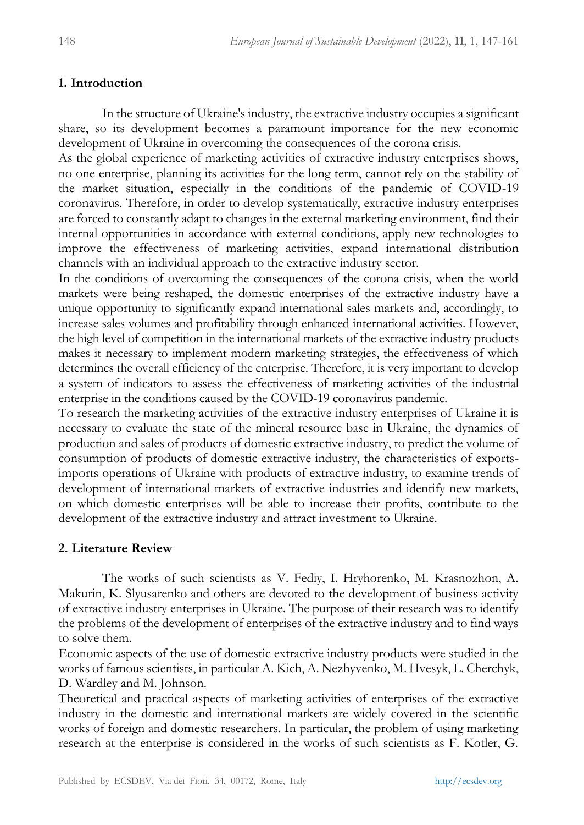# **1. Introduction**

In the structure of Ukraine's industry, the extractive industry occupies a significant share, so its development becomes a paramount importance for the new economic development of Ukraine in overcoming the consequences of the corona crisis.

As the global experience of marketing activities of extractive industry enterprises shows, no one enterprise, planning its activities for the long term, cannot rely on the stability of the market situation, especially in the conditions of the pandemic of COVID-19 coronavirus. Therefore, in order to develop systematically, extractive industry enterprises are forced to constantly adapt to changes in the external marketing environment, find their internal opportunities in accordance with external conditions, apply new technologies to improve the effectiveness of marketing activities, expand international distribution channels with an individual approach to the extractive industry sector.

In the conditions of overcoming the consequences of the corona crisis, when the world markets were being reshaped, the domestic enterprises of the extractive industry have a unique opportunity to significantly expand international sales markets and, accordingly, to increase sales volumes and profitability through enhanced international activities. However, the high level of competition in the international markets of the extractive industry products makes it necessary to implement modern marketing strategies, the effectiveness of which determines the overall efficiency of the enterprise. Therefore, it is very important to develop a system of indicators to assess the effectiveness of marketing activities of the industrial enterprise in the conditions caused by the COVID-19 coronavirus pandemic.

To research the marketing activities of the extractive industry enterprises of Ukraine it is necessary to evaluate the state of the mineral resource base in Ukraine, the dynamics of production and sales of products of domestic extractive industry, to predict the volume of consumption of products of domestic extractive industry, the characteristics of exportsimports operations of Ukraine with products of extractive industry, to examine trends of development of international markets of extractive industries and identify new markets, on which domestic enterprises will be able to increase their profits, contribute to the development of the extractive industry and attract investment to Ukraine.

# **2. Literature Review**

The works of such scientists as V. Fediy, I. Hryhorenko, M. Krasnozhon, A. Makurin, K. Slyusarenko and others are devoted to the development of business activity of extractive industry enterprises in Ukraine. The purpose of their research was to identify the problems of the development of enterprises of the extractive industry and to find ways to solve them.

Economic aspects of the use of domestic extractive industry products were studied in the works of famous scientists, in particular A. Kich, A. Nezhyvenko, M. Hvesyk, L. Cherchyk, D. Wardley and M. Johnson.

Theoretical and practical aspects of marketing activities of enterprises of the extractive industry in the domestic and international markets are widely covered in the scientific works of foreign and domestic researchers. In particular, the problem of using marketing research at the enterprise is considered in the works of such scientists as F. Kotler, G.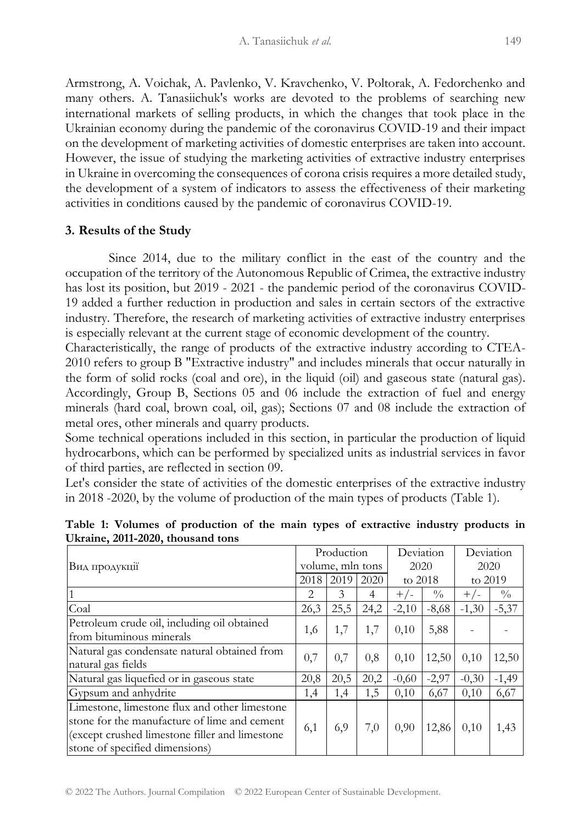Armstrong, A. Voichak, A. Pavlenko, V. Kravchenko, V. Poltorak, A. Fedorchenko and many others. A. Tanasiichuk's works are devoted to the problems of searching new international markets of selling products, in which the changes that took place in the Ukrainian economy during the pandemic of the coronavirus COVID-19 and their impact on the development of marketing activities of domestic enterprises are taken into account. However, the issue of studying the marketing activities of extractive industry enterprises in Ukraine in overcoming the consequences of corona crisis requires a more detailed study, the development of a system of indicators to assess the effectiveness of their marketing activities in conditions caused by the pandemic of coronavirus COVID-19.

## **3. Results of the Study**

Since 2014, due to the military conflict in the east of the country and the occupation of the territory of the Autonomous Republic of Crimea, the extractive industry has lost its position, but 2019 - 2021 - the pandemic period of the coronavirus COVID-19 added a further reduction in production and sales in certain sectors of the extractive industry. Therefore, the research of marketing activities of extractive industry enterprises is especially relevant at the current stage of economic development of the country.

Characteristically, the range of products of the extractive industry according to CTEA-2010 refers to group B "Extractive industry" and includes minerals that occur naturally in the form of solid rocks (coal and ore), in the liquid (oil) and gaseous state (natural gas). Accordingly, Group B, Sections 05 and 06 include the extraction of fuel and energy minerals (hard coal, brown coal, oil, gas); Sections 07 and 08 include the extraction of metal ores, other minerals and quarry products.

Some technical operations included in this section, in particular the production of liquid hydrocarbons, which can be performed by specialized units as industrial services in favor of third parties, are reflected in section 09.

Let's consider the state of activities of the domestic enterprises of the extractive industry in 2018 -2020, by the volume of production of the main types of products (Table 1).

|                                                                                                                                                                                    |      | Production       |      | Deviation |               | Deviation |               |
|------------------------------------------------------------------------------------------------------------------------------------------------------------------------------------|------|------------------|------|-----------|---------------|-----------|---------------|
| Вид продукції                                                                                                                                                                      |      | volume, mln tons |      | 2020      |               | 2020      |               |
|                                                                                                                                                                                    | 2018 | 2019             | 2020 | to 2018   |               | to 2019   |               |
|                                                                                                                                                                                    | 2    | 3                | 4    | $+/-$     | $\frac{0}{0}$ | $+/-$     | $\frac{0}{0}$ |
| Coal                                                                                                                                                                               | 26,3 | 25,5             | 24,2 | $-2,10$   | $-8,68$       | $-1,30$   | $-5,37$       |
| Petroleum crude oil, including oil obtained<br>from bituminous minerals                                                                                                            | 1,6  | 1,7              | 1,7  | 0,10      | 5,88          |           |               |
| Natural gas condensate natural obtained from<br>natural gas fields                                                                                                                 | 0,7  | 0,7              | 0.8  | 0,10      | 12,50         | 0,10      | 12,50         |
| Natural gas liquefied or in gaseous state                                                                                                                                          | 20,8 | 20,5             | 20,2 | $-0.60$   | $-2,97$       | $-0.30$   | $-1,49$       |
| Gypsum and anhydrite                                                                                                                                                               | 1,4  | 1,4              | 1,5  | 0,10      | 6.67          | 0,10      | 6,67          |
| Limestone, limestone flux and other limestone<br>stone for the manufacture of lime and cement<br>(except crushed limestone filler and limestone)<br>stone of specified dimensions) | 6,1  | 6,9              | 7,0  | 0,90      | 12,86         | 0,10      | 1,43          |

**Table 1: Volumes of production of the main types of extractive industry products in Ukraine, 2011-2020, thousand tons**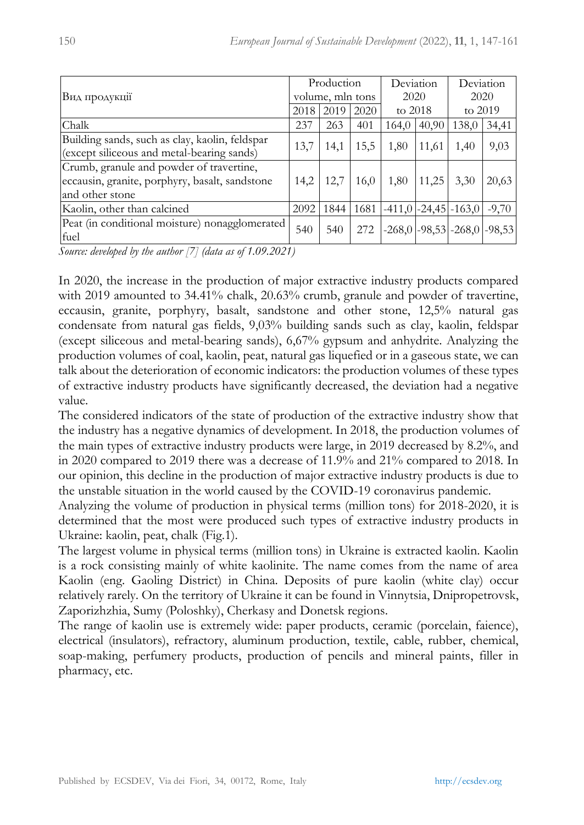| Вид продукції<br>2018                                                                                         |      | Production<br>volume, mln tons |      | Deviation<br>2020 |         | Deviation<br>2020                   |           |  |
|---------------------------------------------------------------------------------------------------------------|------|--------------------------------|------|-------------------|---------|-------------------------------------|-----------|--|
|                                                                                                               |      | 2019                           | 2020 |                   | to 2018 |                                     | to $2019$ |  |
| Chalk                                                                                                         | 237  | 263                            | 401  | 164,0             | 40,90   | 138,0                               | 34,41     |  |
| Building sands, such as clay, kaolin, feldspar<br>(except siliceous and metal-bearing sands)                  | 13,7 | 14,1                           | 15,5 | 1,80              | 11,61   | 1,40                                | 9,03      |  |
| Crumb, granule and powder of travertine,<br>eccausin, granite, porphyry, basalt, sandstone<br>and other stone | 14,2 | 12.7                           | 16.0 | 1,80              | 11,25   | 3,30                                | 20,63     |  |
| Kaolin, other than calcined                                                                                   | 2092 | 1844                           | 1681 |                   |         | $-411,0$ $-24,45$ $-163,0$          | $-9,70$   |  |
| Peat (in conditional moisture) nonagglomerated<br>fuel                                                        | 540  | 540                            | 272  |                   |         | $-268,0$ $-98,53$ $-268,0$ $-98,53$ |           |  |

*Source: developed by the author [7] (data as of 1.09.2021)*

In 2020, the increase in the production of major extractive industry products compared with 2019 amounted to 34.41% chalk, 20.63% crumb, granule and powder of travertine, eccausin, granite, porphyry, basalt, sandstone and other stone, 12,5% natural gas condensate from natural gas fields, 9,03% building sands such as clay, kaolin, feldspar (except siliceous and metal-bearing sands), 6,67% gypsum and anhydrite. Analyzing the production volumes of coal, kaolin, peat, natural gas liquefied or in a gaseous state, we can talk about the deterioration of economic indicators: the production volumes of these types of extractive industry products have significantly decreased, the deviation had a negative value.

The considered indicators of the state of production of the extractive industry show that the industry has a negative dynamics of development. In 2018, the production volumes of the main types of extractive industry products were large, in 2019 decreased by 8.2%, and in 2020 compared to 2019 there was a decrease of 11.9% and 21% compared to 2018. In our opinion, this decline in the production of major extractive industry products is due to the unstable situation in the world caused by the COVID-19 coronavirus pandemic.

Analyzing the volume of production in physical terms (million tons) for 2018-2020, it is determined that the most were produced such types of extractive industry products in Ukraine: kaolin, peat, chalk (Fig.1).

The largest volume in physical terms (million tons) in Ukraine is extracted kaolin. Kaolin is a rock consisting mainly of white kaolinite. The name comes from the name of area Kaolin (eng. Gaoling District) in China. Deposits of pure kaolin (white clay) occur relatively rarely. On the territory of Ukraine it can be found in Vinnytsia, Dnipropetrovsk, Zaporizhzhia, Sumy (Poloshky), Cherkasy and Donetsk regions.

The range of kaolin use is extremely wide: paper products, ceramic (porcelain, faience), electrical (insulators), refractory, aluminum production, textile, cable, rubber, chemical, soap-making, perfumery products, production of pencils and mineral paints, filler in pharmacy, etc.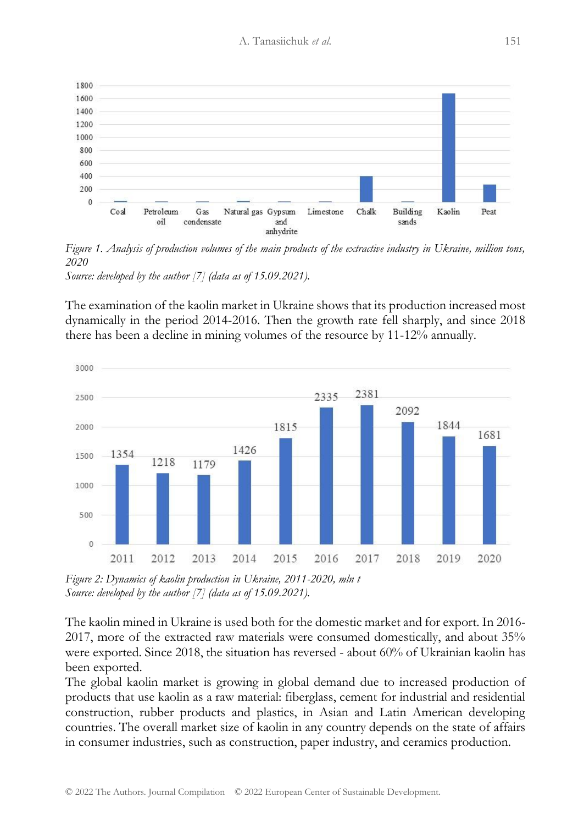

*Figure 1. Analysis of production volumes of the main products of the extractive industry in Ukraine, million tons, 2020* 

*Source: developed by the author [7] (data as of 15.09.2021).* 

The examination of the kaolin market in Ukraine shows that its production increased most dynamically in the period 2014-2016. Then the growth rate fell sharply, and since 2018 there has been a decline in mining volumes of the resource by 11-12% annually.



*Figure 2: Dynamics of kaolin production in Ukraine, 2011-2020, mln t Source: developed by the author [7] (data as of 15.09.2021).* 

The kaolin mined in Ukraine is used both for the domestic market and for export. In 2016- 2017, more of the extracted raw materials were consumed domestically, and about 35% were exported. Since 2018, the situation has reversed - about 60% of Ukrainian kaolin has been exported.

The global kaolin market is growing in global demand due to increased production of products that use kaolin as a raw material: fiberglass, cement for industrial and residential construction, rubber products and plastics, in Asian and Latin American developing countries. The overall market size of kaolin in any country depends on the state of affairs in consumer industries, such as construction, paper industry, and ceramics production.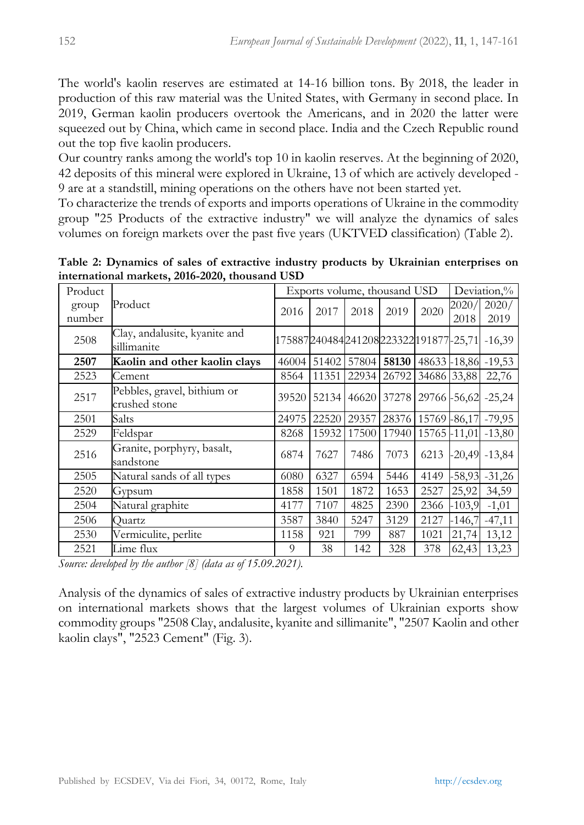The world's kaolin reserves are estimated at 14-16 billion tons. By 2018, the leader in production of this raw material was the United States, with Germany in second place. In 2019, German kaolin producers overtook the Americans, and in 2020 the latter were squeezed out by China, which came in second place. India and the Czech Republic round out the top five kaolin producers.

Our country ranks among the world's top 10 in kaolin reserves. At the beginning of 2020, 42 deposits of this mineral were explored in Ukraine, 13 of which are actively developed - 9 are at a standstill, mining operations on the others have not been started yet.

To characterize the trends of exports and imports operations of Ukraine in the commodity group "25 Products of the extractive industry" we will analyze the dynamics of sales volumes on foreign markets over the past five years (UKTVED classification) (Table 2).

**Table 2: Dynamics of sales of extractive industry products by Ukrainian enterprises on international markets, 2016-2020, thousand USD**

| Product         |                                              |       |       | Exports volume, thousand USD         |                         |             |               | Deviation,%                 |  |  |  |
|-----------------|----------------------------------------------|-------|-------|--------------------------------------|-------------------------|-------------|---------------|-----------------------------|--|--|--|
| group<br>number | Product                                      | 2016  | 2017  | 2018                                 | 2019                    | 2020        | 2020/<br>2018 | 2020/<br>2019               |  |  |  |
| 2508            | Clay, andalusite, kyanite and<br>sillimanite |       |       | 175887240484241208223322191877-25,71 |                         |             |               | $-16,39$                    |  |  |  |
| 2507            | Kaolin and other kaolin clays                | 46004 | 51402 | 57804                                | 58130                   |             |               | 48633 - 18,86 - 19,53       |  |  |  |
| 2523            | Cement                                       | 8564  | 11351 |                                      | 22934 26792 34686 33,88 |             |               | 22,76                       |  |  |  |
| 2517            | Pebbles, gravel, bithium or<br>crushed stone | 39520 | 52134 | 46620                                |                         |             |               | 37278 29766 56,62 - 25,24   |  |  |  |
| 2501            | Salts                                        | 24975 | 22520 | 29357                                |                         |             |               | 28376 15769 - 86,17 - 79,95 |  |  |  |
| 2529            | Feldspar                                     | 8268  | 15932 | 17500                                | 17940                   | 15765-11,01 |               | $-13,80$                    |  |  |  |
| 2516            | Granite, porphyry, basalt,<br>sandstone      | 6874  | 7627  | 7486                                 | 7073                    | 6213        |               | $-20,49$ $-13,84$           |  |  |  |
| 2505            | Natural sands of all types                   | 6080  | 6327  | 6594                                 | 5446                    | 4149        |               | $-58,93$ $-31,26$           |  |  |  |
| 2520            | Gypsum                                       | 1858  | 1501  | 1872                                 | 1653                    | 2527        | 25,92         | 34,59                       |  |  |  |
| 2504            | Natural graphite                             | 4177  | 7107  | 4825                                 | 2390                    | 2366        | $-103.9$      | $-1,01$                     |  |  |  |
| 2506            | Quartz                                       | 3587  | 3840  | 5247                                 | 3129                    | 2127        | $-146,7$      | $-47,11$                    |  |  |  |
| 2530            | Vermiculite, perlite                         | 1158  | 921   | 799                                  | 887                     | 1021        | 21,74         | 13,12                       |  |  |  |
| 2521            | Lime flux                                    | 9     | 38    | 142                                  | 328                     | 378         | 62,43         | 13,23                       |  |  |  |

*Source: developed by the author [8] (data as of 15.09.2021).* 

Analysis of the dynamics of sales of extractive industry products by Ukrainian enterprises on international markets shows that the largest volumes of Ukrainian exports show commodity groups "2508 Clay, andalusite, kyanite and sillimanite", "2507 Kaolin and other kaolin clays", "2523 Cement" (Fig. 3).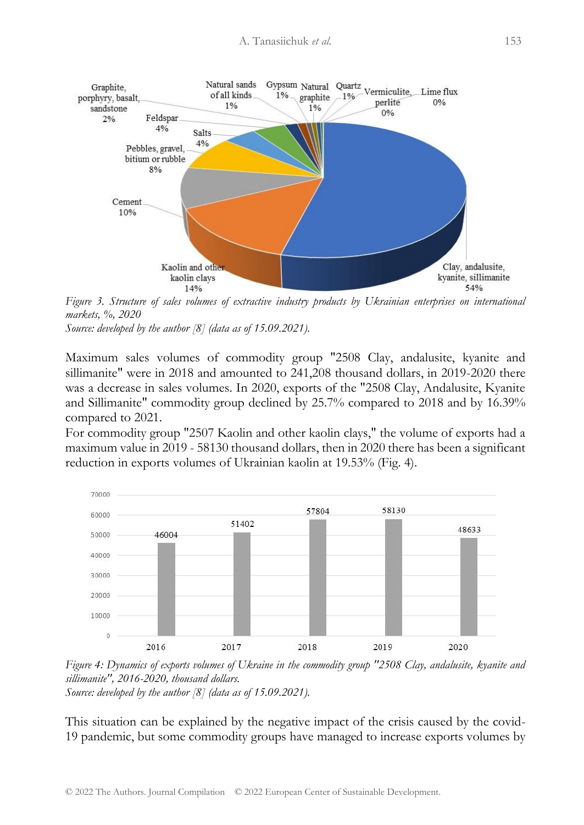

*Figure 3. Structure of sales volumes of extractive industry products by Ukrainian enterprises on international markets, %, 2020* 

*Source: developed by the author [8] (data as of 15.09.2021).* 

Maximum sales volumes of commodity group "2508 Clay, andalusite, kyanite and sillimanite" were in 2018 and amounted to 241,208 thousand dollars, in 2019-2020 there was a decrease in sales volumes. In 2020, exports of the "2508 Clay, Andalusite, Kyanite and Sillimanite" commodity group declined by 25.7% compared to 2018 and by 16.39% compared to 2021.

For commodity group "2507 Kaolin and other kaolin clays," the volume of exports had a maximum value in 2019 - 58130 thousand dollars, then in 2020 there has been a significant reduction in exports volumes of Ukrainian kaolin at 19.53% (Fig. 4).



*Figure 4: Dynamics of exports volumes of Ukraine in the commodity group "2508 Clay, andalusite, kyanite and sillimanite", 2016-2020, thousand dollars. Source: developed by the author [8] (data as of 15.09.2021).* 

This situation can be explained by the negative impact of the crisis caused by the covid-19 pandemic, but some commodity groups have managed to increase exports volumes by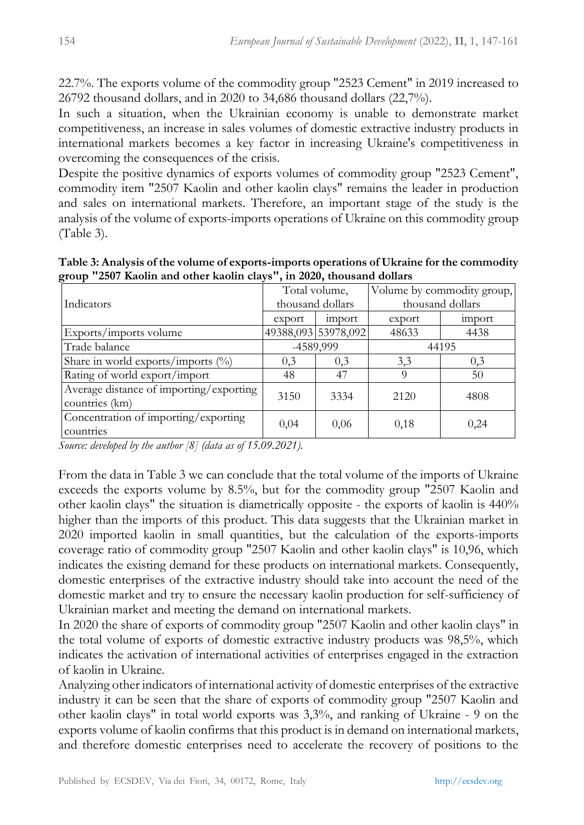22.7%. The exports volume of the commodity group "2523 Cement" in 2019 increased to 26792 thousand dollars, and in 2020 to 34,686 thousand dollars (22,7%).

In such a situation, when the Ukrainian economy is unable to demonstrate market competitiveness, an increase in sales volumes of domestic extractive industry products in international markets becomes a key factor in increasing Ukraine's competitiveness in overcoming the consequences of the crisis.

Despite the positive dynamics of exports volumes of commodity group "2523 Cement", commodity item "2507 Kaolin and other kaolin clays" remains the leader in production and sales on international markets. Therefore, an important stage of the study is the analysis of the volume of exports-imports operations of Ukraine on this commodity group (Table 3).

**Table 3: Analysis of the volume of exports-imports operations of Ukraine for the commodity group "2507 Kaolin and other kaolin clays", in 2020, thousand dollars** 

|                                         |           | Total volume,       | Volume by commodity group, |        |  |  |  |  |
|-----------------------------------------|-----------|---------------------|----------------------------|--------|--|--|--|--|
| Indicators                              |           | thousand dollars    | thousand dollars           |        |  |  |  |  |
|                                         | export    | import              | export                     | import |  |  |  |  |
| Exports/imports volume                  |           | 49388,093 53978,092 | 48633                      | 4438   |  |  |  |  |
| Trade balance                           | -4589,999 |                     |                            | 44195  |  |  |  |  |
| Share in world exports/imports (%)      | 0,3       | 0,3                 | 3,3                        | 0,3    |  |  |  |  |
| Rating of world export/import           | 48        | 47                  | O                          | 50     |  |  |  |  |
| Average distance of importing/exporting | 3150      | 3334                | 2120                       | 4808   |  |  |  |  |
| countries (km)                          |           |                     |                            |        |  |  |  |  |
| Concentration of importing/exporting    | 0,04      | 0,06                | 0,18                       | 0,24   |  |  |  |  |
| countries                               |           |                     |                            |        |  |  |  |  |

*Source: developed by the author [8] (data as of 15.09.2021).* 

From the data in Table 3 we can conclude that the total volume of the imports of Ukraine exceeds the exports volume by 8.5%, but for the commodity group "2507 Kaolin and other kaolin clays" the situation is diametrically opposite - the exports of kaolin is 440% higher than the imports of this product. This data suggests that the Ukrainian market in 2020 imported kaolin in small quantities, but the calculation of the exports-imports coverage ratio of commodity group "2507 Kaolin and other kaolin clays" is 10,96, which indicates the existing demand for these products on international markets. Consequently, domestic enterprises of the extractive industry should take into account the need of the domestic market and try to ensure the necessary kaolin production for self-sufficiency of Ukrainian market and meeting the demand on international markets.

In 2020 the share of exports of commodity group "2507 Kaolin and other kaolin clays" in the total volume of exports of domestic extractive industry products was 98,5%, which indicates the activation of international activities of enterprises engaged in the extraction of kaolin in Ukraine.

Analyzing other indicators of international activity of domestic enterprises of the extractive industry it can be seen that the share of exports of commodity group "2507 Kaolin and other kaolin clays" in total world exports was 3,3%, and ranking of Ukraine - 9 on the exports volume of kaolin confirms that this product is in demand on international markets, and therefore domestic enterprises need to accelerate the recovery of positions to the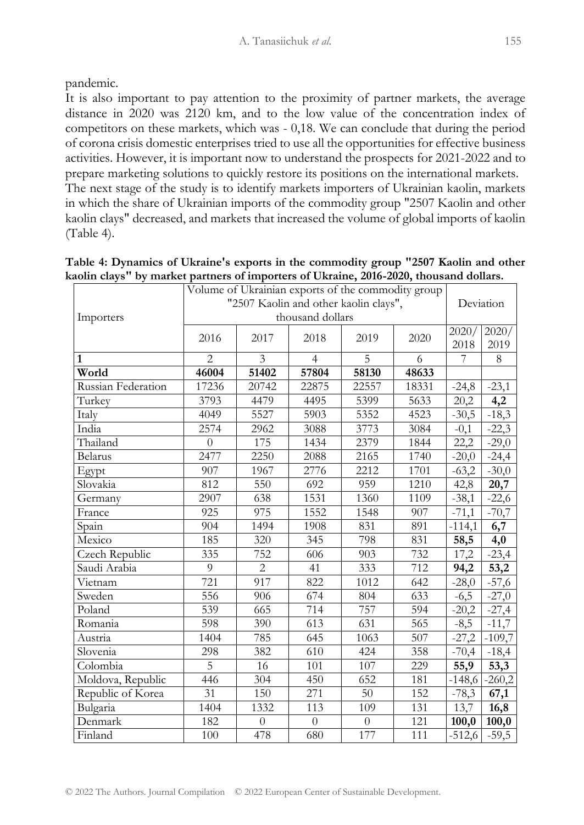pandemic.

It is also important to pay attention to the proximity of partner markets, the average distance in 2020 was 2120 km, and to the low value of the concentration index of competitors on these markets, which was - 0,18. We can conclude that during the period of corona crisis domestic enterprises tried to use all the opportunities for effective business activities. However, it is important now to understand the prospects for 2021-2022 and to prepare marketing solutions to quickly restore its positions on the international markets. The next stage of the study is to identify markets importers of Ukrainian kaolin, markets

in which the share of Ukrainian imports of the commodity group "2507 Kaolin and other kaolin clays" decreased, and markets that increased the volume of global imports of kaolin (Table 4).

|                    |                | Volume of Ukrainian exports of the commodity group |                  |          |       |          |           |
|--------------------|----------------|----------------------------------------------------|------------------|----------|-------|----------|-----------|
|                    |                | "2507 Kaolin and other kaolin clays",              |                  |          |       |          | Deviation |
| Importers          |                |                                                    | thousand dollars |          |       |          |           |
|                    | 2016           | 2017                                               | 2018             | 2019     | 2020  | 2020/    | 2020/     |
|                    |                |                                                    |                  |          |       | 2018     | 2019      |
| 1                  | $\overline{2}$ | 3                                                  | $\overline{4}$   | 5        | 6     | 7        | $8\,$     |
| World              | 46004          | 51402                                              | 57804            | 58130    | 48633 |          |           |
| Russian Federation | 17236          | 20742                                              | 22875            | 22557    | 18331 | $-24,8$  | $-23,1$   |
| Turkey             | 3793           | 4479                                               | 4495             | 5399     | 5633  | 20,2     | 4,2       |
| Italy              | 4049           | 5527                                               | 5903             | 5352     | 4523  | $-30,5$  | $-18,3$   |
| India              | 2574           | 2962                                               | 3088             | 3773     | 3084  | $-0,1$   | $-22,3$   |
| Thailand           | $\overline{0}$ | 175                                                | 1434             | 2379     | 1844  | 22,2     | $-29,0$   |
| Belarus            | 2477           | 2250                                               | 2088             | 2165     | 1740  | $-20,0$  | $-24,4$   |
| Egypt              | 907            | 1967                                               | 2776             | 2212     | 1701  | $-63,2$  | $-30,0$   |
| Slovakia           | 812            | 550                                                | 692              | 959      | 1210  | 42,8     | 20,7      |
| Germany            | 2907           | 638                                                | 1531             | 1360     | 1109  | $-38,1$  | $-22,6$   |
| France             | 925            | 975                                                | 1552             | 1548     | 907   | $-71,1$  | $-70,7$   |
| Spain              | 904            | 1494                                               | 1908             | 831      | 891   | $-114,1$ | 6,7       |
| Mexico             | 185            | 320                                                | 345              | 798      | 831   | 58,5     | 4,0       |
| Czech Republic     | 335            | 752                                                | 606              | 903      | 732   | 17,2     | $-23,4$   |
| Saudi Arabia       | 9              | $\overline{2}$                                     | 41               | 333      | 712   | 94,2     | 53,2      |
| Vietnam            | 721            | 917                                                | 822              | 1012     | 642   | $-28,0$  | $-57,6$   |
| Sweden             | 556            | 906                                                | 674              | 804      | 633   | $-6,5$   | $-27,0$   |
| Poland             | 539            | 665                                                | 714              | 757      | 594   | $-20,2$  | $-27,4$   |
| Romania            | 598            | 390                                                | 613              | 631      | 565   | $-8,5$   | $-11,7$   |
| Austria            | 1404           | 785                                                | 645              | 1063     | 507   | $-27,2$  | $-109,7$  |
| Slovenia           | 298            | 382                                                | 610              | 424      | 358   | $-70,4$  | $-18,4$   |
| Colombia           | 5              | 16                                                 | 101              | 107      | 229   | 55,9     | 53,3      |
| Moldova, Republic  | 446            | 304                                                | 450              | 652      | 181   | $-148,6$ | $-260,2$  |
| Republic of Korea  | 31             | 150                                                | 271              | 50       | 152   | $-78,3$  | 67,1      |
| Bulgaria           | 1404           | 1332                                               | 113              | 109      | 131   | 13,7     | 16,8      |
| Denmark            | 182            | $\Omega$                                           | $\Omega$         | $\theta$ | 121   | 100,0    | 100,0     |
| Finland            | 100            | 478                                                | 680              | 177      | 111   | $-512,6$ | $-59,5$   |

**Table 4: Dynamics of Ukraine's exports in the commodity group "2507 Kaolin and other kaolin clays" by market partners of importers of Ukraine, 2016-2020, thousand dollars.**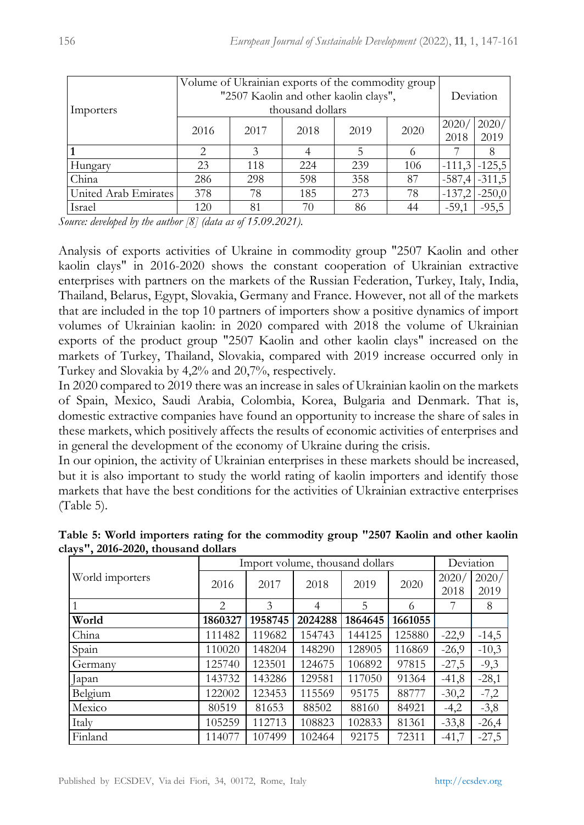| Importers            | Volume of Ukrainian exports of the commodity group<br>"2507 Kaolin and other kaolin clays", |      | Deviation |      |               |          |               |
|----------------------|---------------------------------------------------------------------------------------------|------|-----------|------|---------------|----------|---------------|
|                      | 2016                                                                                        | 2017 | 2018      | 2019 | 2020/<br>2020 |          | 2020/<br>2019 |
|                      | $\mathcal{D}$                                                                               | 3    | 4         | 5    | 6             |          |               |
| <b>Hungary</b>       | 23                                                                                          | 118  | 224       | 239  | 106           | $-111.3$ | $-125,5$      |
| China                | 286                                                                                         | 298  | 598       | 358  | 87            | $-587,4$ | $-311.5$      |
| United Arab Emirates | 378                                                                                         | 78   | 185       | 273  | 78            | $-137,2$ | $-250,0$      |
| Israel               | 120                                                                                         | 81   | 70        | 86   | 44            | $-59.1$  | $-95,5$       |

*Source: developed by the author [8] (data as of 15.09.2021).* 

Analysis of exports activities of Ukraine in commodity group "2507 Kaolin and other kaolin clays" in 2016-2020 shows the constant cooperation of Ukrainian extractive enterprises with partners on the markets of the Russian Federation, Turkey, Italy, India, Thailand, Belarus, Egypt, Slovakia, Germany and France. However, not all of the markets that are included in the top 10 partners of importers show a positive dynamics of import volumes of Ukrainian kaolin: in 2020 compared with 2018 the volume of Ukrainian exports of the product group "2507 Kaolin and other kaolin clays" increased on the markets of Turkey, Thailand, Slovakia, compared with 2019 increase occurred only in Turkey and Slovakia by 4,2% and 20,7%, respectively.

In 2020 compared to 2019 there was an increase in sales of Ukrainian kaolin on the markets of Spain, Mexico, Saudi Arabia, Colombia, Korea, Bulgaria and Denmark. That is, domestic extractive companies have found an opportunity to increase the share of sales in these markets, which positively affects the results of economic activities of enterprises and in general the development of the economy of Ukraine during the crisis.

In our opinion, the activity of Ukrainian enterprises in these markets should be increased, but it is also important to study the world rating of kaolin importers and identify those markets that have the best conditions for the activities of Ukrainian extractive enterprises (Table 5).

|                 |                |         | Import volume, thousand dollars |         |         | Deviation |         |  |
|-----------------|----------------|---------|---------------------------------|---------|---------|-----------|---------|--|
| World importers | 2016           | 2017    | 2018                            | 2019    | 2020    | 2020/     | 2020/   |  |
|                 |                |         |                                 |         |         | 2018      | 2019    |  |
|                 | $\overline{2}$ | 3       | $\overline{4}$                  | 5       | 6       | 7         | 8       |  |
| World           | 1860327        | 1958745 | 2024288                         | 1864645 | 1661055 |           |         |  |
| China           | 111482         | 119682  | 154743                          | 144125  | 125880  | $-22,9$   | $-14,5$ |  |
| Spain           | 110020         | 148204  | 148290                          | 128905  | 116869  | $-26.9$   | $-10,3$ |  |
| Germany         | 125740         | 123501  | 124675                          | 106892  | 97815   | $-27,5$   | $-9,3$  |  |
| apan            | 143732         | 143286  | 129581                          | 117050  | 91364   | $-41,8$   | $-28,1$ |  |
| Belgium         | 122002         | 123453  | 115569                          | 95175   | 88777   | $-30,2$   | $-7,2$  |  |
| Mexico          | 80519          | 81653   | 88502                           | 88160   | 84921   | $-4,2$    | $-3,8$  |  |
| Italy           | 105259         | 112713  | 108823                          | 102833  | 81361   | $-33,8$   | $-26,4$ |  |
| Finland         | 114077         | 107499  | 102464                          | 92175   | 72311   | $-41.7$   | $-27,5$ |  |

**Table 5: World importers rating for the commodity group "2507 Kaolin and other kaolin clays", 2016-2020, thousand dollars**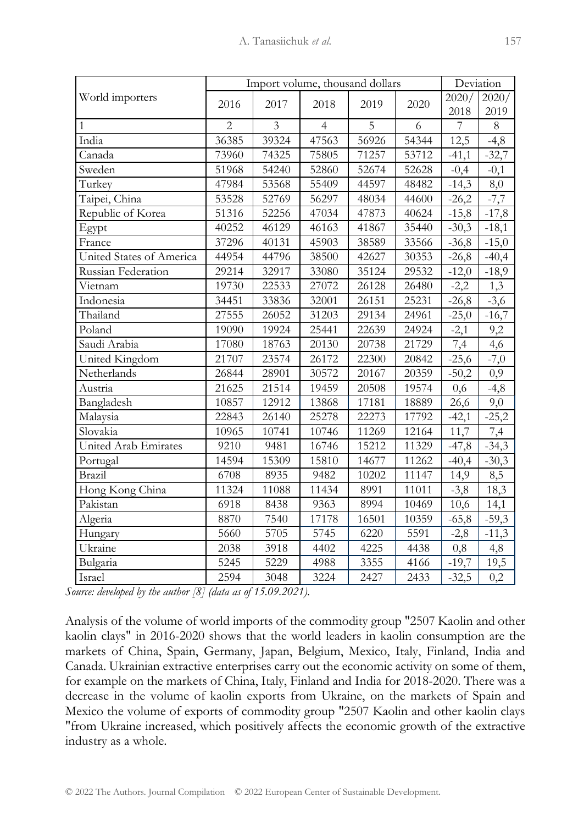|                          |                | Import volume, thousand dollars |                |       | Deviation |         |         |
|--------------------------|----------------|---------------------------------|----------------|-------|-----------|---------|---------|
| World importers          | 2016           | 2017                            | 2018           | 2019  | 2020      | 2020/   | 2020/   |
|                          |                |                                 |                |       |           | 2018    | 2019    |
| 1                        | $\overline{2}$ | 3                               | $\overline{4}$ | 5     | 6         | 7       | 8       |
| India                    | 36385          | 39324                           | 47563          | 56926 | 54344     | 12,5    | $-4,8$  |
| Canada                   | 73960          | 74325                           | 75805          | 71257 | 53712     | $-41,1$ | $-32,7$ |
| Sweden                   | 51968          | 54240                           | 52860          | 52674 | 52628     | $-0,4$  | $-0,1$  |
| Turkey                   | 47984          | 53568                           | 55409          | 44597 | 48482     | $-14,3$ | 8,0     |
| Taipei, China            | 53528          | 52769                           | 56297          | 48034 | 44600     | $-26,2$ | $-7,7$  |
| Republic of Korea        | 51316          | 52256                           | 47034          | 47873 | 40624     | $-15,8$ | $-17,8$ |
| Egypt                    | 40252          | 46129                           | 46163          | 41867 | 35440     | $-30,3$ | $-18,1$ |
| France                   | 37296          | 40131                           | 45903          | 38589 | 33566     | $-36,8$ | $-15,0$ |
| United States of America | 44954          | 44796                           | 38500          | 42627 | 30353     | $-26,8$ | $-40,4$ |
| Russian Federation       | 29214          | 32917                           | 33080          | 35124 | 29532     | $-12,0$ | $-18,9$ |
| Vietnam                  | 19730          | 22533                           | 27072          | 26128 | 26480     | $-2,2$  | 1,3     |
| Indonesia                | 34451          | 33836                           | 32001          | 26151 | 25231     | $-26,8$ | $-3,6$  |
| Thailand                 | 27555          | 26052                           | 31203          | 29134 | 24961     | $-25,0$ | $-16,7$ |
| Poland                   | 19090          | 19924                           | 25441          | 22639 | 24924     | $-2,1$  | 9,2     |
| Saudi Arabia             | 17080          | 18763                           | 20130          | 20738 | 21729     | 7,4     | 4,6     |
| United Kingdom           | 21707          | 23574                           | 26172          | 22300 | 20842     | $-25,6$ | $-7,0$  |
| Netherlands              | 26844          | 28901                           | 30572          | 20167 | 20359     | $-50,2$ | 0,9     |
| Austria                  | 21625          | 21514                           | 19459          | 20508 | 19574     | 0,6     | $-4,8$  |
| Bangladesh               | 10857          | 12912                           | 13868          | 17181 | 18889     | 26,6    | 9,0     |
| Malaysia                 | 22843          | 26140                           | 25278          | 22273 | 17792     | $-42,1$ | $-25,2$ |
| Slovakia                 | 10965          | 10741                           | 10746          | 11269 | 12164     | 11,7    | 7,4     |
| United Arab Emirates     | 9210           | 9481                            | 16746          | 15212 | 11329     | $-47,8$ | $-34,3$ |
| Portugal                 | 14594          | 15309                           | 15810          | 14677 | 11262     | $-40,4$ | $-30,3$ |
| Brazil                   | 6708           | 8935                            | 9482           | 10202 | 11147     | 14,9    | 8,5     |
| Hong Kong China          | 11324          | 11088                           | 11434          | 8991  | 11011     | $-3,8$  | 18,3    |
| Pakistan                 | 6918           | 8438                            | 9363           | 8994  | 10469     | 10,6    | 14,1    |
| Algeria                  | 8870           | 7540                            | 17178          | 16501 | 10359     | $-65,8$ | $-59,3$ |
| Hungary                  | 5660           | 5705                            | 5745           | 6220  | 5591      | $-2,8$  | $-11,3$ |
| Ukraine                  | 2038           | 3918                            | 4402           | 4225  | 4438      | 0,8     | 4,8     |
| Bulgaria                 | 5245           | 5229                            | 4988           | 3355  | 4166      | $-19,7$ | 19,5    |
| Israel                   | 2594           | 3048                            | 3224           | 2427  | 2433      | $-32,5$ | 0,2     |

*Source: developed by the author [8] (data as of 15.09.2021).* 

Analysis of the volume of world imports of the commodity group "2507 Kaolin and other kaolin clays" in 2016-2020 shows that the world leaders in kaolin consumption are the markets of China, Spain, Germany, Japan, Belgium, Mexico, Italy, Finland, India and Canada. Ukrainian extractive enterprises carry out the economic activity on some of them, for example on the markets of China, Italy, Finland and India for 2018-2020. There was a decrease in the volume of kaolin exports from Ukraine, on the markets of Spain and Mexico the volume of exports of commodity group "2507 Kaolin and other kaolin clays "from Ukraine increased, which positively affects the economic growth of the extractive industry as a whole.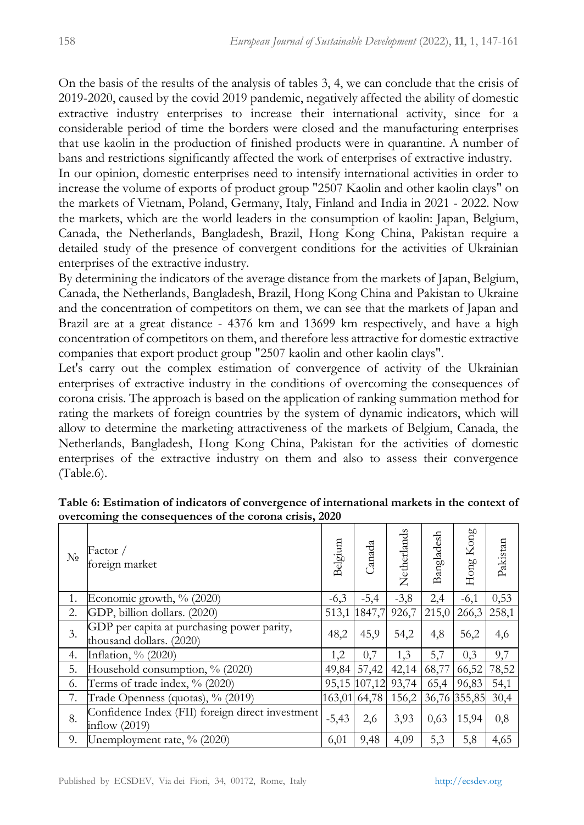On the basis of the results of the analysis of tables 3, 4, we can conclude that the crisis of 2019-2020, caused by the covid 2019 pandemic, negatively affected the ability of domestic extractive industry enterprises to increase their international activity, since for a considerable period of time the borders were closed and the manufacturing enterprises that use kaolin in the production of finished products were in quarantine. A number of bans and restrictions significantly affected the work of enterprises of extractive industry.

In our opinion, domestic enterprises need to intensify international activities in order to increase the volume of exports of product group "2507 Kaolin and other kaolin clays" on the markets of Vietnam, Poland, Germany, Italy, Finland and India in 2021 - 2022. Now the markets, which are the world leaders in the consumption of kaolin: Japan, Belgium, Canada, the Netherlands, Bangladesh, Brazil, Hong Kong China, Pakistan require a detailed study of the presence of convergent conditions for the activities of Ukrainian enterprises of the extractive industry.

By determining the indicators of the average distance from the markets of Japan, Belgium, Canada, the Netherlands, Bangladesh, Brazil, Hong Kong China and Pakistan to Ukraine and the concentration of competitors on them, we can see that the markets of Japan and Brazil are at a great distance - 4376 km and 13699 km respectively, and have a high concentration of competitors on them, and therefore less attractive for domestic extractive companies that export product group "2507 kaolin and other kaolin clays".

Let's carry out the complex estimation of convergence of activity of the Ukrainian enterprises of extractive industry in the conditions of overcoming the consequences of corona crisis. The approach is based on the application of ranking summation method for rating the markets of foreign countries by the system of dynamic indicators, which will allow to determine the marketing attractiveness of the markets of Belgium, Canada, the Netherlands, Bangladesh, Hong Kong China, Pakistan for the activities of domestic enterprises of the extractive industry on them and also to assess their convergence (Table.6).

| $\mathcal{N}$ <sup>o</sup> | ਣ ਂ<br>Factor /<br>foreign market                                      | Belgium | Canada       | Netherlands | Bangladesh | Hong Kong    | Pakistan |
|----------------------------|------------------------------------------------------------------------|---------|--------------|-------------|------------|--------------|----------|
| 1.                         | Economic growth, % (2020)                                              | $-6,3$  | $-5,4$       | $-3,8$      | 2,4        | $-6,1$       | 0,53     |
| 2.                         | GDP, billion dollars. (2020)                                           |         | 513,1 1847,7 | 926,7       | 215,0      | 266,3        | 258,1    |
| 3.                         | GDP per capita at purchasing power parity,<br>thousand dollars. (2020) | 48,2    | 45.9         | 54,2        | 4,8        | 56,2         | 4,6      |
| 4.                         | Inflation, $\%$ (2020)                                                 | 1,2     | 0,7          | 1,3         | 5,7        | 0,3          | 9,7      |
| 5.                         | Household consumption, % (2020)                                        | 49,84   | 57,42        | 42,14       | 68,77      | 66,52        | 78,52    |
| 6.                         | Terms of trade index, % (2020)                                         |         | 95,15 107,12 | 93,74       | 65,4       | 96,83        | 54,1     |
| 7.                         | Trade Openness (quotas), % (2019)                                      |         | 163,01 64,78 | 156,2       |            | 36,76 355,85 | 30,4     |
| 8.                         | Confidence Index (FII) foreign direct investment<br>inflow $(2019)$    | $-5.43$ | 2,6          | 3,93        | 0.63       | 15,94        | 0,8      |
| 9.                         | Unemployment rate, % (2020)                                            | 6,01    | 9,48         | 4,09        | 5,3        | 5,8          | 4,65     |

**Table 6: Estimation of indicators of convergence of international markets in the context of overcoming the consequences of the corona crisis, 2020**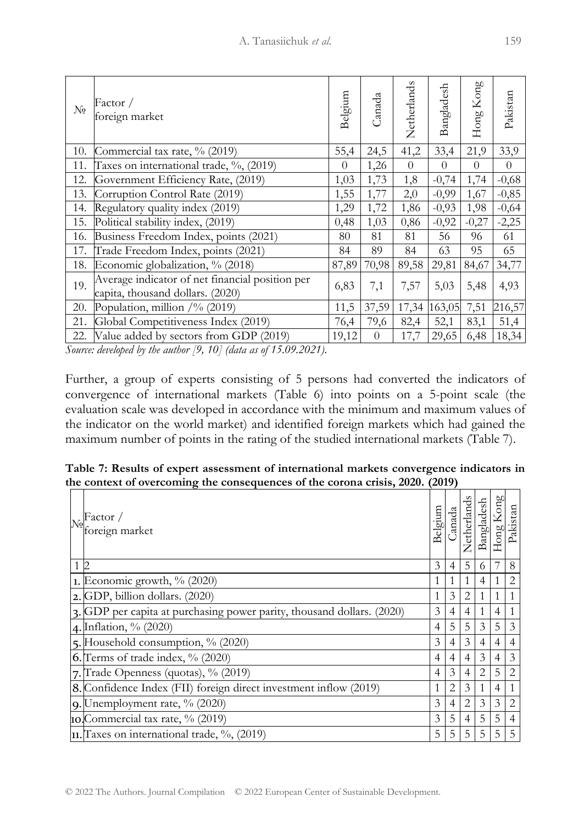| $\sqrt{2}$ | Factor /<br>foreign market                                                          | Belgium  | Canada   | Netherlands | Bangladesh | Hong Kong | Pakistan |
|------------|-------------------------------------------------------------------------------------|----------|----------|-------------|------------|-----------|----------|
| 10.        | Commercial tax rate, % (2019)                                                       | 55,4     | 24,5     | 41,2        | 33,4       | 21,9      | 33,9     |
| 11.        | Taxes on international trade, %, (2019)                                             | $\theta$ | 1,26     | $\Omega$    | $\theta$   | $\theta$  | $\theta$ |
| 12.        | Government Efficiency Rate, (2019)                                                  | 1,03     | 1,73     | 1,8         | $-0,74$    | 1,74      | $-0,68$  |
| 13.        | Corruption Control Rate (2019)                                                      | 1,55     | 1,77     | 2,0         | $-0.99$    | 1,67      | $-0,85$  |
| 14.        | Regulatory quality index (2019)                                                     | 1,29     | 1,72     | 1,86        | $-0.93$    | 1,98      | $-0,64$  |
| 15.        | Political stability index, (2019)                                                   | 0,48     | 1,03     | 0,86        | $-0,92$    | $-0,27$   | $-2,25$  |
| 16.        | Business Freedom Index, points (2021)                                               | 80       | 81       | 81          | 56         | 96        | 61       |
| 17.        | Trade Freedom Index, points (2021)                                                  | 84       | 89       | 84          | 63         | 95        | 65       |
| 18.        | Economic globalization, % (2018)                                                    | 87,89    | 70,98    | 89,58       | 29,81      | 84,67     | 34,77    |
| 19.        | Average indicator of net financial position per<br>capita, thousand dollars. (2020) | 6,83     | 7,1      | 7,57        | 5,03       | 5,48      | 4,93     |
| 20.        | Population, million $/$ % (2019)                                                    | 11,5     | 37,59    | 17,34       | 163,05     | 7,51      | 216,57   |
| 21.        | Global Competitiveness Index (2019)                                                 | 76,4     | 79,6     | 82,4        | 52,1       | 83,1      | 51,4     |
| 22.        | Value added by sectors from GDP (2019)                                              | 19,12    | $\Omega$ | 17,7        | 29,65      | 6,48      | 18,34    |

*Source: developed by the author [9, 10] (data as of 15.09.2021).* 

Further, a group of experts consisting of 5 persons had converted the indicators of convergence of international markets (Table 6) into points on a 5-point scale (the evaluation scale was developed in accordance with the minimum and maximum values of the indicator on the world market) and identified foreign markets which had gained the maximum number of points in the rating of the studied international markets (Table 7).

**Table 7: Results of expert assessment of international markets convergence indicators in the context of overcoming the consequences of the corona crisis, 2020. (2019)**

|              | Factor $/$<br>foreign market                                           | Belgium | Canada | Netherland |                | Bangladesh<br>Hong Kong | Pakistan       |
|--------------|------------------------------------------------------------------------|---------|--------|------------|----------------|-------------------------|----------------|
| $\mathbf{1}$ | 2                                                                      | 3       | 4      | 5          | 6              |                         | 8              |
|              | $n$ . Economic growth, % (2020)                                        |         |        |            | 4              |                         | 2              |
|              | 2. GDP, billion dollars. (2020)                                        |         | 3      | 2          |                |                         |                |
|              | 3. GDP per capita at purchasing power parity, thousand dollars. (2020) | 3       | 4      | 4          | 1              | 4                       |                |
|              | 4. Inflation, % (2020)                                                 | 4       | 5      | 5          | 3              | 5                       | 3              |
|              | 5. Household consumption, % (2020)                                     | 3       | 4      | 3          | 4              | 4                       | 4              |
|              | 6. Terms of trade index, $\%$ (2020)                                   | 4       | 4      | 4          | 3              | 4                       | 3              |
|              | 7. Trade Openness (quotas), $\%$ (2019)                                | 4       | 3      | 4          | $\overline{2}$ | 5                       | 2              |
|              | 8. Confidence Index (FII) foreign direct investment inflow (2019)      |         | 2      | 3          | 1              | 4                       |                |
|              | 9. Unemployment rate, % (2020)                                         | 3       | 4      | 2          | 3              | 3                       | $\overline{2}$ |
|              | 10. Commercial tax rate, % (2019)                                      | 3       | 5      | 4          | 5              | 5                       | 4              |
|              | 11. Taxes on international trade, $\%$ , (2019)                        | 5       | 5      | 5          | 5              | ר                       | 5              |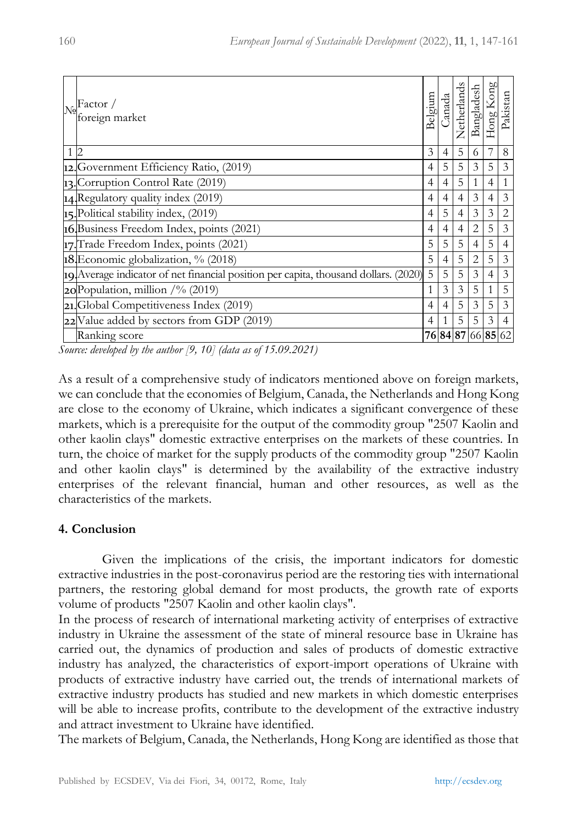|   | Factor /<br>foreign market                                                          | Belgium | Canada | Netherland | Bangladesh<br>Hong Kong |   | Pakistan       |
|---|-------------------------------------------------------------------------------------|---------|--------|------------|-------------------------|---|----------------|
| 1 | $\overline{2}$                                                                      | 3       | 4      | 5          | 6                       |   | 8              |
|   | 12. Government Efficiency Ratio, (2019)                                             | 4       | 5      | 5          | 3                       | 5 | 3              |
|   | 13. Corruption Control Rate (2019)                                                  | 4       | 4      | 5          | 1                       | 4 |                |
|   | 14 Regulatory quality index (2019)                                                  | 4       | 4      | 4          | 3                       | 4 | 3              |
|   | 15. Political stability index, (2019)                                               | 4       | 5      | 4          | 3                       | 3 | 2              |
|   | 16. Business Freedom Index, points (2021)                                           | 4       | 4      | 4          | $\overline{2}$          | 5 | 3              |
|   | 17. Trade Freedom Index, points (2021)                                              | 5       | 5      | 5          | $\overline{4}$          | 5 | $\overline{4}$ |
|   | 18. Economic globalization, % (2018)                                                | 5       | 4      | 5          | 2                       | 5 | 3              |
|   | 19 Average indicator of net financial position per capita, thousand dollars. (2020) | 5       | 5      | 5          | 3                       | 4 | 3              |
|   | $20$ Population, million /% (2019)                                                  | 1       | 3      | 3          | 5                       |   | 5              |
|   | 21. Global Competitiveness Index (2019)                                             | 4       | 4      | 5          | 3                       | 5 | 3              |
|   | 22 Value added by sectors from GDP (2019)                                           | 4       | 1      | 5          | 5                       | 3 | $\overline{4}$ |
|   | Ranking score                                                                       |         |        |            | 76 84 87 66 85 62       |   |                |

*Source: developed by the author [9, 10] (data as of 15.09.2021)*

As a result of a comprehensive study of indicators mentioned above on foreign markets, we can conclude that the economies of Belgium, Canada, the Netherlands and Hong Kong are close to the economy of Ukraine, which indicates a significant convergence of these markets, which is a prerequisite for the output of the commodity group "2507 Kaolin and other kaolin clays" domestic extractive enterprises on the markets of these countries. In turn, the choice of market for the supply products of the commodity group "2507 Kaolin and other kaolin clays" is determined by the availability of the extractive industry enterprises of the relevant financial, human and other resources, as well as the characteristics of the markets.

## **4. Conclusion**

Given the implications of the crisis, the important indicators for domestic extractive industries in the post-coronavirus period are the restoring ties with international partners, the restoring global demand for most products, the growth rate of exports volume of products "2507 Kaolin and other kaolin clays".

In the process of research of international marketing activity of enterprises of extractive industry in Ukraine the assessment of the state of mineral resource base in Ukraine has carried out, the dynamics of production and sales of products of domestic extractive industry has analyzed, the characteristics of export-import operations of Ukraine with products of extractive industry have carried out, the trends of international markets of extractive industry products has studied and new markets in which domestic enterprises will be able to increase profits, contribute to the development of the extractive industry and attract investment to Ukraine have identified.

The markets of Belgium, Canada, the Netherlands, Hong Kong are identified as those that